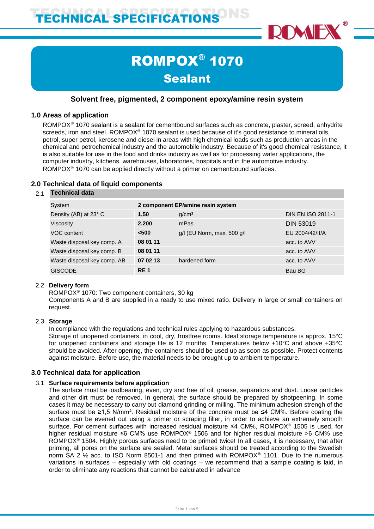

# ROMPOX® 1070 **Sealant**

# **Solvent free, pigmented, 2 component epoxy/amine resin system**

## **1.0 Areas of application**

ROMPOX<sup>®</sup> 1070 sealant is a sealant for cementbound surfaces such as concrete, plaster, screed, anhydrite screeds, iron and steel. ROMPOX<sup>®</sup> 1070 sealant is used because of it's good resistance to mineral oils, petrol, super petrol, kerosene and diesel in areas with high chemical loads such as production areas in the chemical and petrochemical industry and the automobile industry. Because of it's good chemical resistance, it is also suitable for use in the food and drinks industry as well as for processing water applications, the computer industry, kitchens, warehouses, laboratories, hospitals and in the automotive industry. ROMPO $X^{\circ}$  1070 can be applied directly without a primer on cementbound surfaces.

# **2.0 Technical data of liquid components**

#### 2.1 **Technical data**

| System                      | 2 component EP/amine resin system |                                |                          |
|-----------------------------|-----------------------------------|--------------------------------|--------------------------|
| Density (AB) at 23° C       | 1,50                              | q/cm <sup>3</sup>              | <b>DIN EN ISO 2811-1</b> |
| Viscosity                   | 2.200                             | mPas                           | <b>DIN 53019</b>         |
| VOC content                 | $500$                             | $g/l$ (EU Norm, max. 500 $g/l$ | EU 2004/42/II/A          |
| Waste disposal key comp. A  | 08 01 11                          |                                | acc. to AVV              |
| Waste disposal key comp. B  | 08 01 11                          |                                | acc. to AVV              |
| Waste disposal key comp. AB | 07 02 13                          | hardened form                  | acc. to AVV              |
| <b>GISCODE</b>              | RE <sub>1</sub>                   |                                | Bau BG                   |

## 2.2 **Delivery form**

ROMPOX® 1070: Two component containers, 30 kg

Components A and B are supplied in a ready to use mixed ratio. Delivery in large or small containers on request.

## 2.3 **Storage**

In compliance with the regulations and technical rules applying to hazardous substances.

Storage of unopened containers, in cool, dry, frostfree rooms. Ideal storage temperature is approx. 15°C for unopened containers and storage life is 12 months. Temperatures below +10°C and above +35°C should be avoided. After opening, the containers should be used up as soon as possible. Protect contents against moisture. Before use, the material needs to be brought up to ambient temperature.

## **3.0 Technical data for application**

#### 3.1 **Surface requirements before application**

The surface must be loadbearing, even, dry and free of oil, grease, separators and dust. Loose particles and other dirt must be removed. In general, the surface should be prepared by shotpeening. In some cases it may be necessary to carry out diamond grinding or milling. The minimum adhesion strengh of the surface must be ≥1,5 N/mm². Residual moisture of the concrete must be ≤4 CM%. Before coating the surface can be evened out using a primer or scraping filler, in order to achieve an extremely smooth surface. For cement surfaces with increased residual moisture ≤4 CM%, ROMPOX® 1505 is used, for higher residual moisture ≤6 CM% use ROMPOX® 1506 and for higher residual moisture >6 CM% use ROMPOX<sup>®</sup> 1504. Highly porous surfaces need to be primed twice! In all cases, it is necessary, that after priming, all pores on the surface are sealed. Metal surfaces should be treated according to the Swedish norm SA 2 ½ acc. to ISO Norm 8501-1 and then primed with ROMPOX® 1101. Due to the numerous variations in surfaces – especially with old coatings – we recommend that a sample coating is laid, in order to eliminate any reactions that cannot be calculated in advance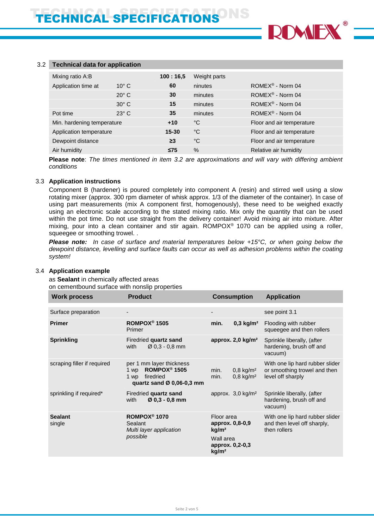

#### 3.2 **Technical data for application**

| Mixing ratio A:B           |                | 100:16.5  | Weight parts |                                   |
|----------------------------|----------------|-----------|--------------|-----------------------------------|
| Application time at        | $10^{\circ}$ C | 60        | ninutes      | ROME $X^{\circledcirc}$ - Norm 04 |
|                            | $20^{\circ}$ C | 30        | minutes      | $ROMEX^{\circledR}$ - Norm 04     |
|                            | $30^\circ$ C   | 15        | minutes      | $ROMEX^{\circledR}$ - Norm 04     |
| Pot time                   | $23^\circ$ C   | 35        | minutes      | $ROMEX^{\circledR}$ - Norm 04     |
| Min. hardening temperature |                | $+10$     | °C           | Floor and air temperature         |
| Application temperature    |                | $15 - 30$ | °C           | Floor and air temperature         |
| Dewpoint distance          |                | $\geq$ 3  | °C           | Floor and air temperature         |
| Air humidity               |                | $\leq$ 75 | $\%$         | Relative air humidity             |

**Please note**: *The times mentioned in item 3.2 are approximations and will vary with differing ambient conditions*

#### 3.3 **Application instructions**

Component B (hardener) is poured completely into component A (resin) and stirred well using a slow rotating mixer (approx. 300 rpm diameter of whisk approx. 1/3 of the diameter of the container). In case of using part measurements (mix A component first, homogenously), these need to be weighed exactly using an electronic scale according to the stated mixing ratio. Mix only the quantity that can be used within the pot time. Do not use straight from the delivery container! Avoid mixing air into mixture. After mixing, pour into a clean container and stir again. ROMPOX® 1070 can be applied using a roller, squeegee or smoothing trowel. .

*Please note: In case of surface and material temperatures below +15°C, or when going below the dewpoint distance, levelling and surface faults can occur as well as adhesion problems within the coating system!*

#### 3.4 **Application example**

as **Sealant** in chemically affected areas on cementbound surface with nonslip properties

| <b>Work process</b>         | <b>Product</b>                                                                                                             | <b>Consumption</b>                                                 | <b>Application</b>                                                                   |
|-----------------------------|----------------------------------------------------------------------------------------------------------------------------|--------------------------------------------------------------------|--------------------------------------------------------------------------------------|
| Surface preparation         |                                                                                                                            | -                                                                  | see point 3.1                                                                        |
| <b>Primer</b>               | ROMPOX <sup>®</sup> 1505<br>Primer                                                                                         | $0,3 \text{ kg/m}^2$<br>min.                                       | Flooding with rubber<br>squeegee and then rollers                                    |
| <b>Sprinkling</b>           | Firedried quartz sand<br>$\varnothing$ 0.3 - 0.8 mm<br>with                                                                | approx. 2,0 kg/m <sup>2</sup>                                      | Sprinkle liberally, (after<br>hardening, brush off and<br>vacuum)                    |
| scraping filler if required | per 1 mm layer thickness<br>ROMPOX <sup>®</sup> 1505<br>1 wp<br>firedried<br>1 wp<br>quartz sand $\varnothing$ 0,06-0,3 mm | $0,8$ kg/m <sup>2</sup><br>min.<br>$0,8$ kg/m <sup>2</sup><br>min. | With one lip hard rubber slider<br>or smoothing trowel and then<br>level off sharply |
| sprinkling if required*     | Firedried quartz sand<br>$Ø$ 0,3 - 0,8 mm<br>with                                                                          | approx. $3,0$ kg/m <sup>2</sup>                                    | Sprinkle liberally, (after<br>hardening, brush off and<br>vacuum)                    |
| <b>Sealant</b><br>single    | ROMPOX <sup>®</sup> 1070<br>Sealant<br>Multi layer application                                                             | Floor area<br>approx. 0,8-0,9<br>kg/m <sup>2</sup>                 | With one lip hard rubber slider<br>and then level off sharply,<br>then rollers       |
|                             | possible                                                                                                                   | Wall area<br>approx. 0,2-0,3<br>kg/m <sup>2</sup>                  |                                                                                      |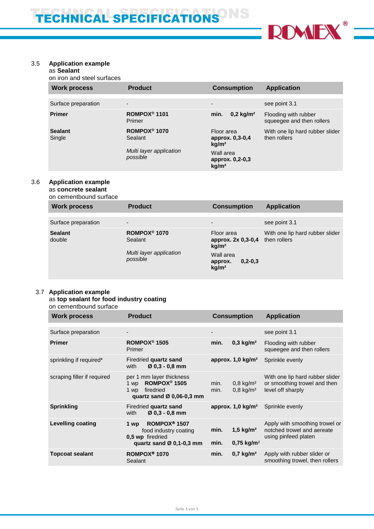

# 3.5 **Application example**

## as **Sealant**

on iron and steel surfaces

| <b>Work process</b>      | <b>Product</b>                      | <b>Consumption</b>                                 | <b>Application</b>                                |
|--------------------------|-------------------------------------|----------------------------------------------------|---------------------------------------------------|
|                          |                                     |                                                    |                                                   |
| Surface preparation      | $\overline{\phantom{0}}$            | $\overline{\phantom{0}}$                           | see point 3.1                                     |
| <b>Primer</b>            | ROMPOX <sup>®</sup> 1101<br>Primer  | $0,2$ kg/m <sup>2</sup><br>min.                    | Flooding with rubber<br>squeegee and then rollers |
| <b>Sealant</b><br>Single | ROMPOX <sup>®</sup> 1070<br>Sealant | Floor area<br>approx. 0,3-0,4<br>kq/m <sup>2</sup> | With one lip hard rubber slider<br>then rollers   |
|                          | Multi layer application<br>possible | Wall area<br>approx. 0,2-0,3<br>kg/m <sup>2</sup>  |                                                   |

#### 3.6 **Application example**

as **concrete sealant** on cementbound surface

| <b>Work process</b>      | <b>Product</b>                      | <b>Consumption</b>                                         | <b>Application</b>                              |
|--------------------------|-------------------------------------|------------------------------------------------------------|-------------------------------------------------|
| Surface preparation      | $\overline{\phantom{a}}$            | $\blacksquare$                                             | see point 3.1                                   |
| <b>Sealant</b><br>double | ROMPOX <sup>®</sup> 1070<br>Sealant | Floor area<br>approx. 2x 0,3-0,4<br>kq/m <sup>2</sup>      | With one lip hard rubber slider<br>then rollers |
|                          | Multi layer application<br>possible | Wall area<br>$0, 2 - 0, 3$<br>approx.<br>kg/m <sup>2</sup> |                                                 |

## 3.7 **Application example**

#### as **top sealant for food industry coating** on cementbound surface

| <b>Work process</b>         | <b>Product</b>                                                                                                        | <b>Consumption</b>                                                 | <b>Application</b>                                                                   |
|-----------------------------|-----------------------------------------------------------------------------------------------------------------------|--------------------------------------------------------------------|--------------------------------------------------------------------------------------|
| Surface preparation         |                                                                                                                       |                                                                    | see point 3.1                                                                        |
| <b>Primer</b>               | ROMPOX <sup>®</sup> 1505<br>Primer                                                                                    | $0,3$ kg/m <sup>2</sup><br>min.                                    | Flooding with rubber<br>squeegee and then rollers                                    |
| sprinkling if required*     | Firedried quartz sand<br>$Ø$ 0,3 - 0,8 mm<br>with                                                                     | approx. $1,0$ kg/m <sup>2</sup>                                    | Sprinkle evenly                                                                      |
| scraping filler if required | per 1 mm layer thickness<br>ROMPOX <sup>®</sup> 1505<br>1 wp<br>firedried<br>1 wp<br>quartz sand $Ø$ 0,06-0,3 mm      | $0,8$ kg/m <sup>2</sup><br>min.<br>$0,8$ kg/m <sup>2</sup><br>min. | With one lip hard rubber slider<br>or smoothing trowel and then<br>level off sharply |
| <b>Sprinkling</b>           | Firedried quartz sand<br>$Ø$ 0.3 - 0.8 mm<br>with                                                                     | approx. $1.0 \text{ kg/m}^2$                                       | Sprinkle evenly                                                                      |
| <b>Levelling coating</b>    | ROMPOX <sup>®</sup> 1507<br>1 wp<br>food industry coating<br>0.5 wp firedried<br>quartz sand $\varnothing$ 0.1-0.3 mm | 1,5 $kg/m2$<br>min.<br>$0.75 \text{ kg/m}^2$<br>min.               | Apply with smoothing trowel or<br>notched trowel and aereate<br>using pinfeed platen |
| <b>Topcoat sealant</b>      | ROMPOX <sup>®</sup> 1070<br>Sealant                                                                                   | min.<br>$0,7$ kg/m <sup>2</sup>                                    | Apply with rubber slider or<br>smoothing trowel, then rollers                        |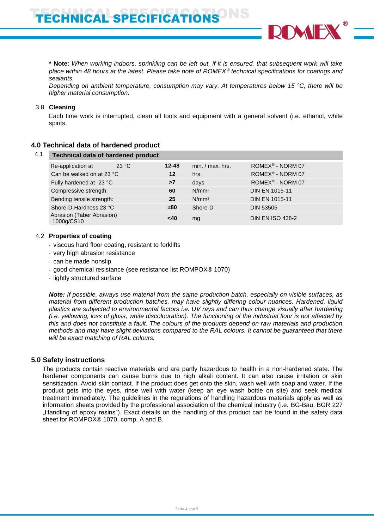**\* Note**: *When working indoors, sprinkling can be left out, if it is ensured, that subsequent work will take place within 48 hours at the latest. Please take note of ROMEX technical specifications for coatings and sealants.* 

*Depending on ambient temperature, consumption may vary. At temperatures below 15 °C, there will be higher material consumption.*

#### 3.8 **Cleaning**

Each time work is interrupted, clean all tools and equipment with a general solvent (i.e. ethanol, white spirits.

# **4.0 Technical data of hardened product**

| Re-application at     | 23 °C | $12 - 48$                                                                                                                                                                             | $min. / max.$ hrs. | ROMEX <sup>®</sup> - NORM 07 |
|-----------------------|-------|---------------------------------------------------------------------------------------------------------------------------------------------------------------------------------------|--------------------|------------------------------|
|                       |       | $12 \,$                                                                                                                                                                               | hrs.               | ROMEX® - NORM 07             |
|                       |       | >7                                                                                                                                                                                    | days               | ROMEX <sup>®</sup> - NORM 07 |
| Compressive strength: |       | 60                                                                                                                                                                                    | N/mm <sup>2</sup>  | <b>DIN EN 1015-11</b>        |
|                       |       | 25                                                                                                                                                                                    | N/mm <sup>2</sup>  | <b>DIN EN 1015-11</b>        |
|                       |       | ±80                                                                                                                                                                                   | Shore-D            | <b>DIN 53505</b>             |
| 1000g/CS10            |       | <40                                                                                                                                                                                   | mg                 | <b>DIN EN ISO 438-2</b>      |
|                       |       | <b>Technical data of hardened product</b><br>Can be walked on at 23 °C<br>Fully hardened at 23 °C<br>Bending tensile strength:<br>Shore-D-Hardness 23 °C<br>Abrasion (Taber Abrasion) |                    |                              |

#### 4.2 **Properties of coating**

- viscous hard floor coating, resistant to forklifts
- very high abrasion resistance
- can be made nonslip
- good chemical resistance (see resistance list ROMPOX® 1070)
- lightly structured surface

*Note: If possible, always use material from the same production batch, especially on visible surfaces, as material from different production batches, may have slightly differing colour nuances. Hardened, liquid plastics are subjected to environmental factors i.e. UV rays and can thus change visually after hardening (i.e. yellowing, loss of gloss, white discolouration). The functioning of the industrial floor is not affected by this and does not constitute a fault. The colours of the products depend on raw materials and production methods and may have slight deviations compared to the RAL colours. It cannot be guaranteed that there will be exact matching of RAL colours.*

## **5.0 Safety instructions**

The products contain reactive materials and are partly hazardous to health in a non-hardened state. The hardener components can cause burns due to high alkali content. It can also cause irritation or skin sensitization. Avoid skin contact. If the product does get onto the skin, wash well with soap and water. If the product gets into the eyes, rinse well with water (keep an eye wash bottle on site) and seek medical treatment immediately. The guidelines in the regulations of handling hazardous materials apply as well as information sheets provided by the professional association of the chemical industry (i.e. BG-Bau, BGR 227 "Handling of epoxy resins"). Exact details on the handling of this product can be found in the safety data sheet for ROMPOX® 1070, comp. A and B.